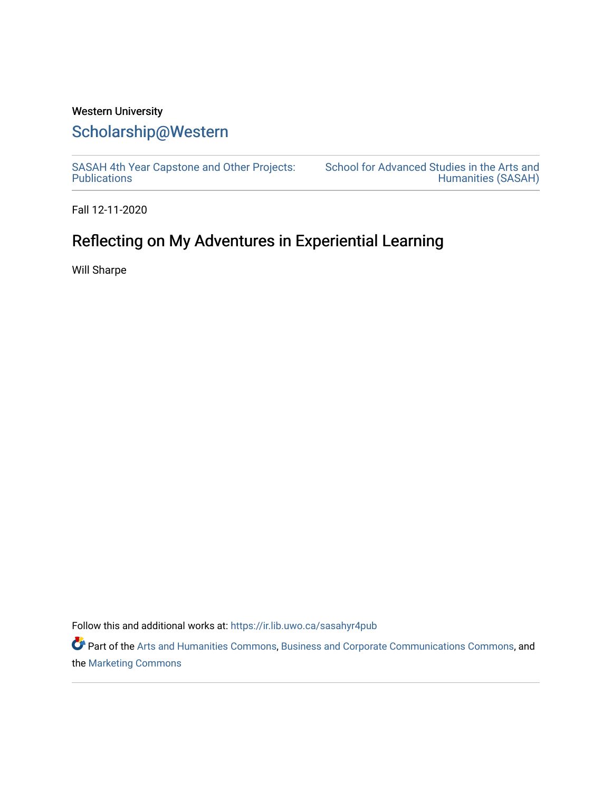# Western University [Scholarship@Western](https://ir.lib.uwo.ca/)

[SASAH 4th Year Capstone and Other Projects:](https://ir.lib.uwo.ca/sasahyr4pub)  **Publications** 

[School for Advanced Studies in the Arts and](https://ir.lib.uwo.ca/sasah)  [Humanities \(SASAH\)](https://ir.lib.uwo.ca/sasah) 

Fall 12-11-2020

# Reflecting on My Adventures in Experiential Learning

Will Sharpe

Follow this and additional works at: [https://ir.lib.uwo.ca/sasahyr4pub](https://ir.lib.uwo.ca/sasahyr4pub?utm_source=ir.lib.uwo.ca%2Fsasahyr4pub%2F24&utm_medium=PDF&utm_campaign=PDFCoverPages) 

Part of the [Arts and Humanities Commons,](http://network.bepress.com/hgg/discipline/438?utm_source=ir.lib.uwo.ca%2Fsasahyr4pub%2F24&utm_medium=PDF&utm_campaign=PDFCoverPages) [Business and Corporate Communications Commons](http://network.bepress.com/hgg/discipline/627?utm_source=ir.lib.uwo.ca%2Fsasahyr4pub%2F24&utm_medium=PDF&utm_campaign=PDFCoverPages), and the [Marketing Commons](http://network.bepress.com/hgg/discipline/638?utm_source=ir.lib.uwo.ca%2Fsasahyr4pub%2F24&utm_medium=PDF&utm_campaign=PDFCoverPages)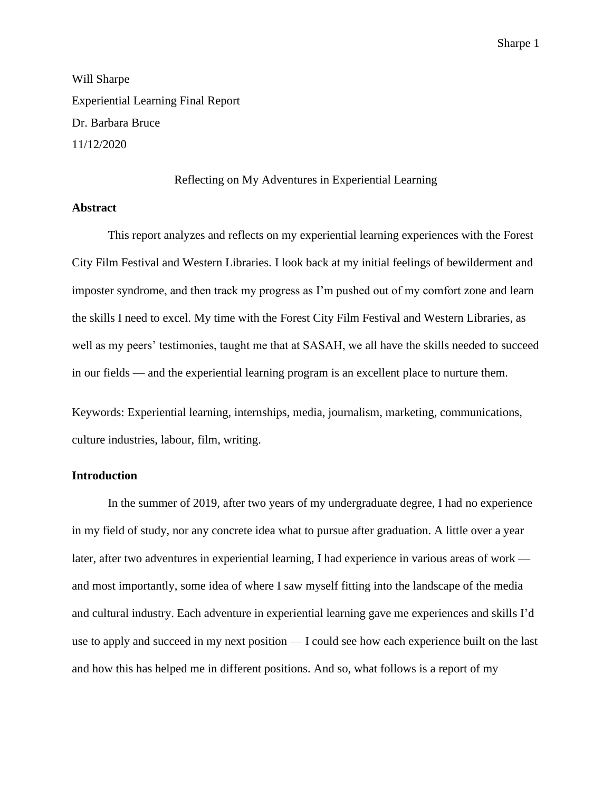Will Sharpe Experiential Learning Final Report Dr. Barbara Bruce 11/12/2020

Reflecting on My Adventures in Experiential Learning

### **Abstract**

This report analyzes and reflects on my experiential learning experiences with the Forest City Film Festival and Western Libraries. I look back at my initial feelings of bewilderment and imposter syndrome, and then track my progress as I'm pushed out of my comfort zone and learn the skills I need to excel. My time with the Forest City Film Festival and Western Libraries, as well as my peers' testimonies, taught me that at SASAH, we all have the skills needed to succeed in our fields — and the experiential learning program is an excellent place to nurture them.

Keywords: Experiential learning, internships, media, journalism, marketing, communications, culture industries, labour, film, writing.

## **Introduction**

In the summer of 2019, after two years of my undergraduate degree, I had no experience in my field of study, nor any concrete idea what to pursue after graduation. A little over a year later, after two adventures in experiential learning, I had experience in various areas of work and most importantly, some idea of where I saw myself fitting into the landscape of the media and cultural industry. Each adventure in experiential learning gave me experiences and skills I'd use to apply and succeed in my next position — I could see how each experience built on the last and how this has helped me in different positions. And so, what follows is a report of my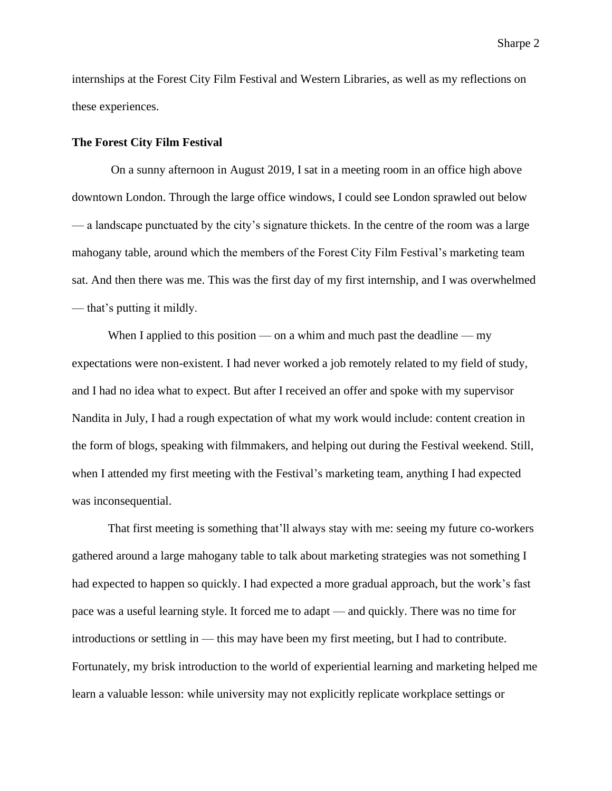internships at the Forest City Film Festival and Western Libraries, as well as my reflections on these experiences.

#### **The Forest City Film Festival**

On a sunny afternoon in August 2019, I sat in a meeting room in an office high above downtown London. Through the large office windows, I could see London sprawled out below — a landscape punctuated by the city's signature thickets. In the centre of the room was a large mahogany table, around which the members of the Forest City Film Festival's marketing team sat. And then there was me. This was the first day of my first internship, and I was overwhelmed — that's putting it mildly.

When I applied to this position — on a whim and much past the deadline — my expectations were non-existent. I had never worked a job remotely related to my field of study, and I had no idea what to expect. But after I received an offer and spoke with my supervisor Nandita in July, I had a rough expectation of what my work would include: content creation in the form of blogs, speaking with filmmakers, and helping out during the Festival weekend. Still, when I attended my first meeting with the Festival's marketing team, anything I had expected was inconsequential.

That first meeting is something that'll always stay with me: seeing my future co-workers gathered around a large mahogany table to talk about marketing strategies was not something I had expected to happen so quickly. I had expected a more gradual approach, but the work's fast pace was a useful learning style. It forced me to adapt — and quickly. There was no time for introductions or settling in — this may have been my first meeting, but I had to contribute. Fortunately, my brisk introduction to the world of experiential learning and marketing helped me learn a valuable lesson: while university may not explicitly replicate workplace settings or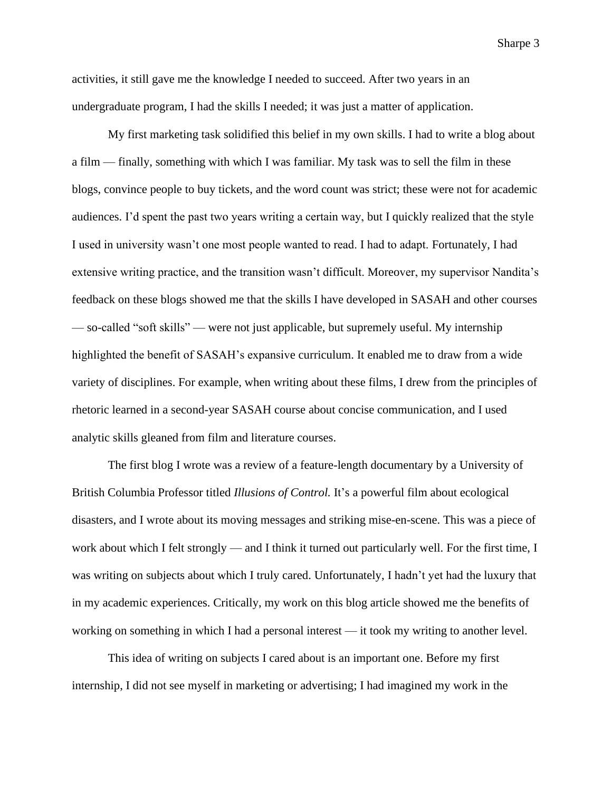activities, it still gave me the knowledge I needed to succeed. After two years in an undergraduate program, I had the skills I needed; it was just a matter of application.

My first marketing task solidified this belief in my own skills. I had to write a blog about a film — finally, something with which I was familiar. My task was to sell the film in these blogs, convince people to buy tickets, and the word count was strict; these were not for academic audiences. I'd spent the past two years writing a certain way, but I quickly realized that the style I used in university wasn't one most people wanted to read. I had to adapt. Fortunately, I had extensive writing practice, and the transition wasn't difficult. Moreover, my supervisor Nandita's feedback on these blogs showed me that the skills I have developed in SASAH and other courses — so-called "soft skills" — were not just applicable, but supremely useful. My internship highlighted the benefit of SASAH's expansive curriculum. It enabled me to draw from a wide variety of disciplines. For example, when writing about these films, I drew from the principles of rhetoric learned in a second-year SASAH course about concise communication, and I used analytic skills gleaned from film and literature courses.

The first blog I wrote was a review of a feature-length documentary by a University of British Columbia Professor titled *Illusions of Control.* It's a powerful film about ecological disasters, and I wrote about its moving messages and striking mise-en-scene. This was a piece of work about which I felt strongly — and I think it turned out particularly well. For the first time, I was writing on subjects about which I truly cared. Unfortunately, I hadn't yet had the luxury that in my academic experiences. Critically, my work on this blog article showed me the benefits of working on something in which I had a personal interest — it took my writing to another level.

This idea of writing on subjects I cared about is an important one. Before my first internship, I did not see myself in marketing or advertising; I had imagined my work in the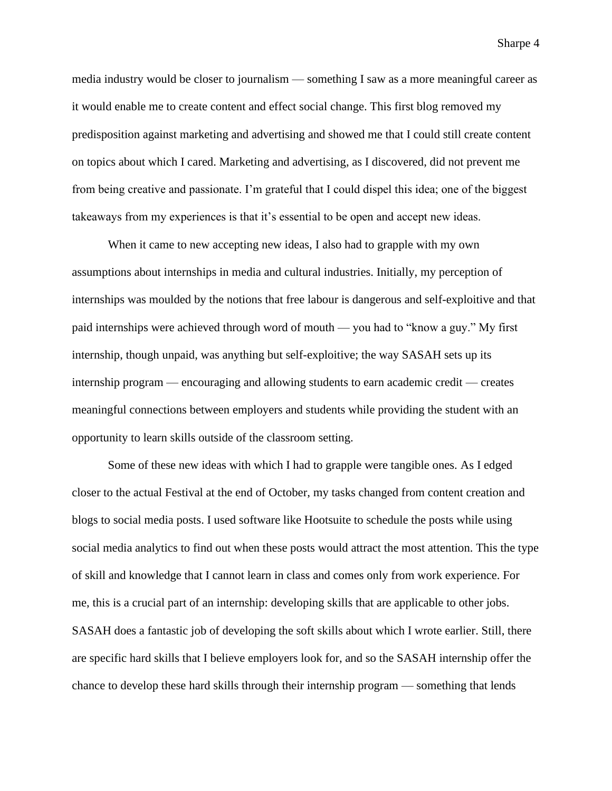media industry would be closer to journalism — something I saw as a more meaningful career as it would enable me to create content and effect social change. This first blog removed my predisposition against marketing and advertising and showed me that I could still create content on topics about which I cared. Marketing and advertising, as I discovered, did not prevent me from being creative and passionate. I'm grateful that I could dispel this idea; one of the biggest takeaways from my experiences is that it's essential to be open and accept new ideas.

When it came to new accepting new ideas, I also had to grapple with my own assumptions about internships in media and cultural industries. Initially, my perception of internships was moulded by the notions that free labour is dangerous and self-exploitive and that paid internships were achieved through word of mouth — you had to "know a guy." My first internship, though unpaid, was anything but self-exploitive; the way SASAH sets up its internship program — encouraging and allowing students to earn academic credit — creates meaningful connections between employers and students while providing the student with an opportunity to learn skills outside of the classroom setting.

Some of these new ideas with which I had to grapple were tangible ones. As I edged closer to the actual Festival at the end of October, my tasks changed from content creation and blogs to social media posts. I used software like Hootsuite to schedule the posts while using social media analytics to find out when these posts would attract the most attention. This the type of skill and knowledge that I cannot learn in class and comes only from work experience. For me, this is a crucial part of an internship: developing skills that are applicable to other jobs. SASAH does a fantastic job of developing the soft skills about which I wrote earlier. Still, there are specific hard skills that I believe employers look for, and so the SASAH internship offer the chance to develop these hard skills through their internship program — something that lends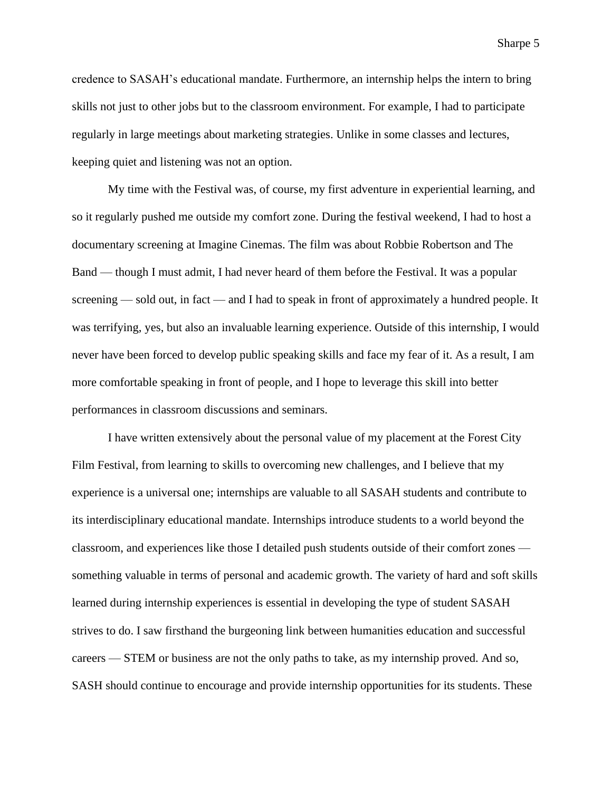credence to SASAH's educational mandate. Furthermore, an internship helps the intern to bring skills not just to other jobs but to the classroom environment. For example, I had to participate regularly in large meetings about marketing strategies. Unlike in some classes and lectures, keeping quiet and listening was not an option.

My time with the Festival was, of course, my first adventure in experiential learning, and so it regularly pushed me outside my comfort zone. During the festival weekend, I had to host a documentary screening at Imagine Cinemas. The film was about Robbie Robertson and The Band — though I must admit, I had never heard of them before the Festival. It was a popular screening — sold out, in fact — and I had to speak in front of approximately a hundred people. It was terrifying, yes, but also an invaluable learning experience. Outside of this internship, I would never have been forced to develop public speaking skills and face my fear of it. As a result, I am more comfortable speaking in front of people, and I hope to leverage this skill into better performances in classroom discussions and seminars.

I have written extensively about the personal value of my placement at the Forest City Film Festival, from learning to skills to overcoming new challenges, and I believe that my experience is a universal one; internships are valuable to all SASAH students and contribute to its interdisciplinary educational mandate. Internships introduce students to a world beyond the classroom, and experiences like those I detailed push students outside of their comfort zones something valuable in terms of personal and academic growth. The variety of hard and soft skills learned during internship experiences is essential in developing the type of student SASAH strives to do. I saw firsthand the burgeoning link between humanities education and successful careers — STEM or business are not the only paths to take, as my internship proved. And so, SASH should continue to encourage and provide internship opportunities for its students. These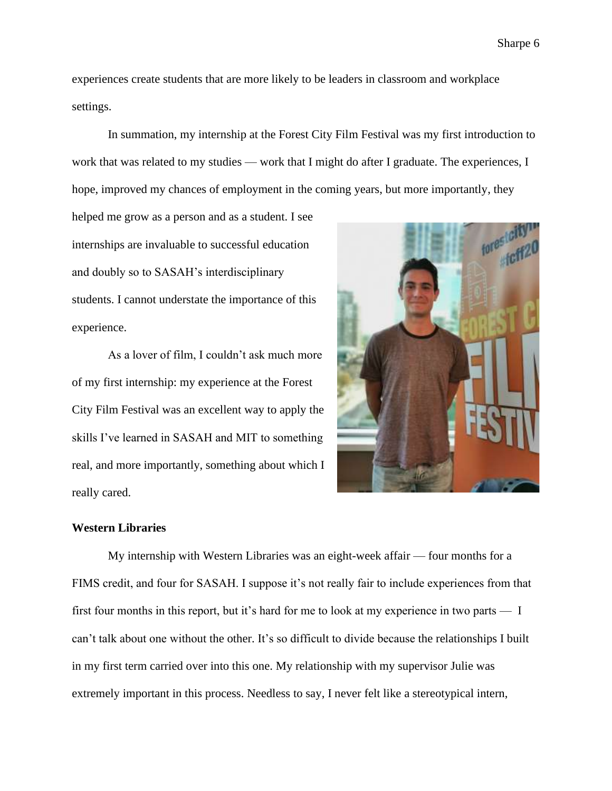experiences create students that are more likely to be leaders in classroom and workplace settings.

In summation, my internship at the Forest City Film Festival was my first introduction to work that was related to my studies — work that I might do after I graduate. The experiences, I hope, improved my chances of employment in the coming years, but more importantly, they

helped me grow as a person and as a student. I see internships are invaluable to successful education and doubly so to SASAH's interdisciplinary students. I cannot understate the importance of this experience.

As a lover of film, I couldn't ask much more of my first internship: my experience at the Forest City Film Festival was an excellent way to apply the skills I've learned in SASAH and MIT to something real, and more importantly, something about which I really cared.



### **Western Libraries**

My internship with Western Libraries was an eight-week affair — four months for a FIMS credit, and four for SASAH. I suppose it's not really fair to include experiences from that first four months in this report, but it's hard for me to look at my experience in two parts — I can't talk about one without the other. It's so difficult to divide because the relationships I built in my first term carried over into this one. My relationship with my supervisor Julie was extremely important in this process. Needless to say, I never felt like a stereotypical intern,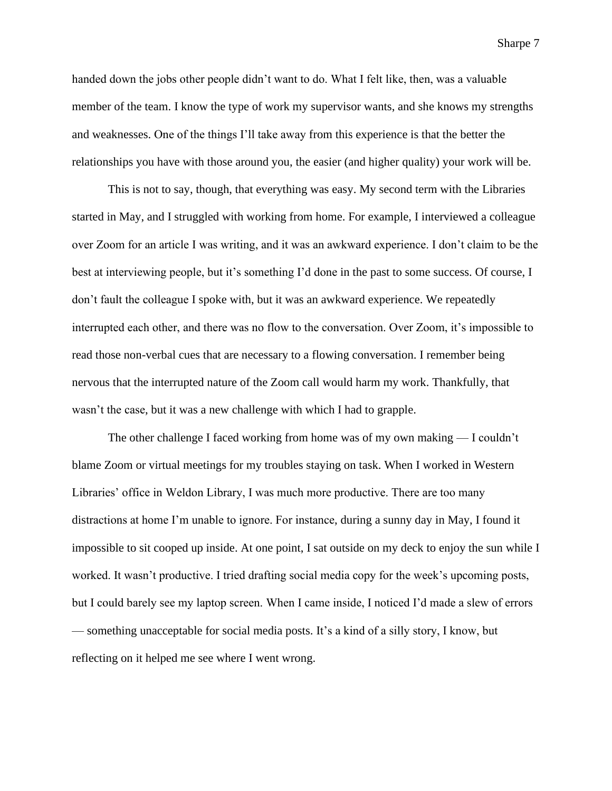handed down the jobs other people didn't want to do. What I felt like, then, was a valuable member of the team. I know the type of work my supervisor wants, and she knows my strengths and weaknesses. One of the things I'll take away from this experience is that the better the relationships you have with those around you, the easier (and higher quality) your work will be.

This is not to say, though, that everything was easy. My second term with the Libraries started in May, and I struggled with working from home. For example, I interviewed a colleague over Zoom for an article I was writing, and it was an awkward experience. I don't claim to be the best at interviewing people, but it's something I'd done in the past to some success. Of course, I don't fault the colleague I spoke with, but it was an awkward experience. We repeatedly interrupted each other, and there was no flow to the conversation. Over Zoom, it's impossible to read those non-verbal cues that are necessary to a flowing conversation. I remember being nervous that the interrupted nature of the Zoom call would harm my work. Thankfully, that wasn't the case, but it was a new challenge with which I had to grapple.

The other challenge I faced working from home was of my own making — I couldn't blame Zoom or virtual meetings for my troubles staying on task. When I worked in Western Libraries' office in Weldon Library, I was much more productive. There are too many distractions at home I'm unable to ignore. For instance, during a sunny day in May, I found it impossible to sit cooped up inside. At one point, I sat outside on my deck to enjoy the sun while I worked. It wasn't productive. I tried drafting social media copy for the week's upcoming posts, but I could barely see my laptop screen. When I came inside, I noticed I'd made a slew of errors — something unacceptable for social media posts. It's a kind of a silly story, I know, but reflecting on it helped me see where I went wrong.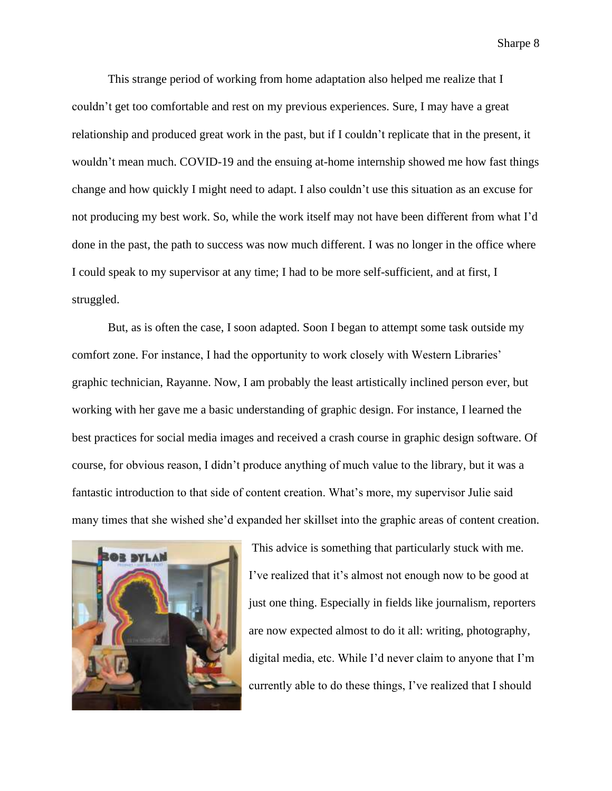This strange period of working from home adaptation also helped me realize that I couldn't get too comfortable and rest on my previous experiences. Sure, I may have a great relationship and produced great work in the past, but if I couldn't replicate that in the present, it wouldn't mean much. COVID-19 and the ensuing at-home internship showed me how fast things change and how quickly I might need to adapt. I also couldn't use this situation as an excuse for not producing my best work. So, while the work itself may not have been different from what I'd done in the past, the path to success was now much different. I was no longer in the office where I could speak to my supervisor at any time; I had to be more self-sufficient, and at first, I struggled.

But, as is often the case, I soon adapted. Soon I began to attempt some task outside my comfort zone. For instance, I had the opportunity to work closely with Western Libraries' graphic technician, Rayanne. Now, I am probably the least artistically inclined person ever, but working with her gave me a basic understanding of graphic design. For instance, I learned the best practices for social media images and received a crash course in graphic design software. Of course, for obvious reason, I didn't produce anything of much value to the library, but it was a fantastic introduction to that side of content creation. What's more, my supervisor Julie said many times that she wished she'd expanded her skillset into the graphic areas of content creation.



This advice is something that particularly stuck with me. I've realized that it's almost not enough now to be good at just one thing. Especially in fields like journalism, reporters are now expected almost to do it all: writing, photography, digital media, etc. While I'd never claim to anyone that I'm currently able to do these things, I've realized that I should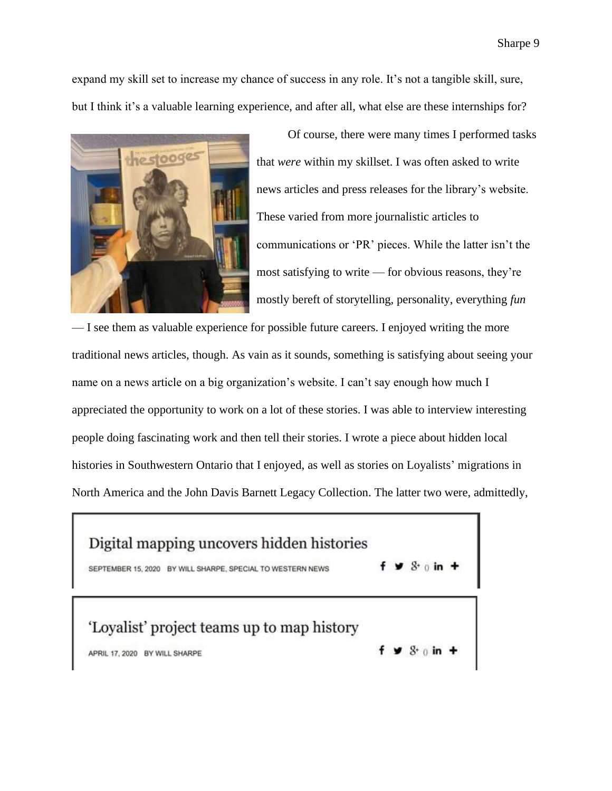expand my skill set to increase my chance of success in any role. It's not a tangible skill, sure, but I think it's a valuable learning experience, and after all, what else are these internships for?



Of course, there were many times I performed tasks that *were* within my skillset. I was often asked to write news articles and press releases for the library's website. These varied from more journalistic articles to communications or 'PR' pieces. While the latter isn't the most satisfying to write — for obvious reasons, they're mostly bereft of storytelling, personality, everything *fun* 

— I see them as valuable experience for possible future careers. I enjoyed writing the more traditional news articles, though. As vain as it sounds, something is satisfying about seeing your name on a news article on a big organization's website. I can't say enough how much I appreciated the opportunity to work on a lot of these stories. I was able to interview interesting people doing fascinating work and then tell their stories. I wrote a piece about hidden local histories in Southwestern Ontario that I enjoyed, as well as stories on Loyalists' migrations in North America and the John Davis Barnett Legacy Collection. The latter two were, admittedly,

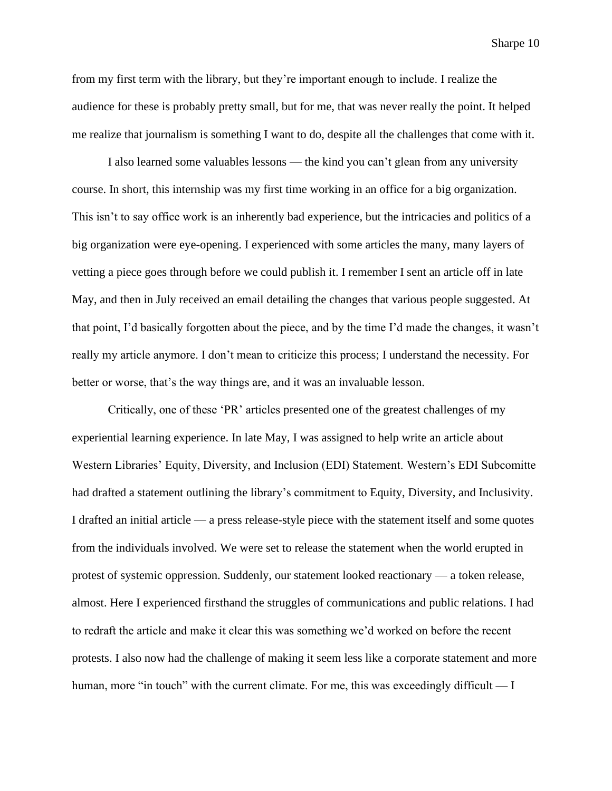from my first term with the library, but they're important enough to include. I realize the audience for these is probably pretty small, but for me, that was never really the point. It helped me realize that journalism is something I want to do, despite all the challenges that come with it.

I also learned some valuables lessons — the kind you can't glean from any university course. In short, this internship was my first time working in an office for a big organization. This isn't to say office work is an inherently bad experience, but the intricacies and politics of a big organization were eye-opening. I experienced with some articles the many, many layers of vetting a piece goes through before we could publish it. I remember I sent an article off in late May, and then in July received an email detailing the changes that various people suggested. At that point, I'd basically forgotten about the piece, and by the time I'd made the changes, it wasn't really my article anymore. I don't mean to criticize this process; I understand the necessity. For better or worse, that's the way things are, and it was an invaluable lesson.

Critically, one of these 'PR' articles presented one of the greatest challenges of my experiential learning experience. In late May, I was assigned to help write an article about Western Libraries' Equity, Diversity, and Inclusion (EDI) Statement. Western's EDI Subcomitte had drafted a statement outlining the library's commitment to Equity, Diversity, and Inclusivity. I drafted an initial article — a press release-style piece with the statement itself and some quotes from the individuals involved. We were set to release the statement when the world erupted in protest of systemic oppression. Suddenly, our statement looked reactionary — a token release, almost. Here I experienced firsthand the struggles of communications and public relations. I had to redraft the article and make it clear this was something we'd worked on before the recent protests. I also now had the challenge of making it seem less like a corporate statement and more human, more "in touch" with the current climate. For me, this was exceedingly difficult — I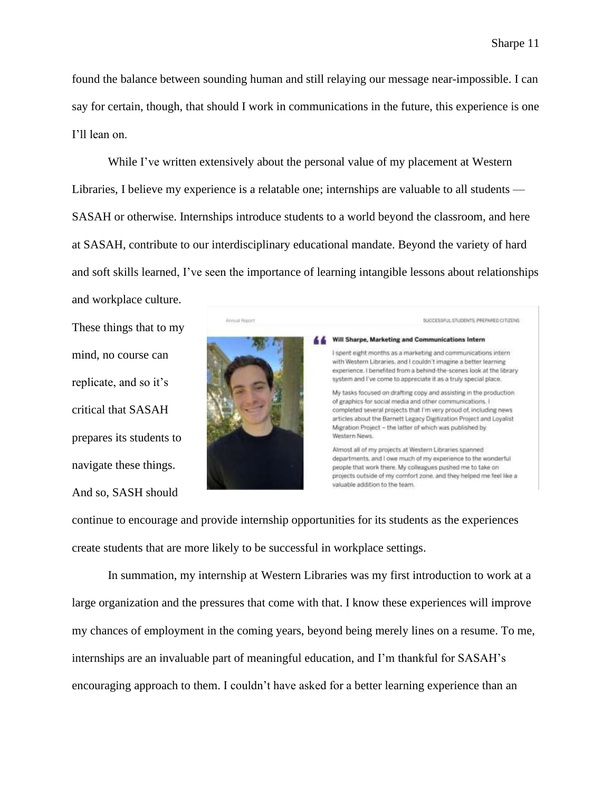found the balance between sounding human and still relaying our message near-impossible. I can say for certain, though, that should I work in communications in the future, this experience is one I'll lean on.

While I've written extensively about the personal value of my placement at Western Libraries, I believe my experience is a relatable one; internships are valuable to all students — SASAH or otherwise. Internships introduce students to a world beyond the classroom, and here at SASAH, contribute to our interdisciplinary educational mandate. Beyond the variety of hard and soft skills learned, I've seen the importance of learning intangible lessons about relationships

These things that to my mind, no course can replicate, and so it's critical that SASAH prepares its students to navigate these things. And so, SASH should

and workplace culture.



continue to encourage and provide internship opportunities for its students as the experiences create students that are more likely to be successful in workplace settings.

In summation, my internship at Western Libraries was my first introduction to work at a large organization and the pressures that come with that. I know these experiences will improve my chances of employment in the coming years, beyond being merely lines on a resume. To me, internships are an invaluable part of meaningful education, and I'm thankful for SASAH's encouraging approach to them. I couldn't have asked for a better learning experience than an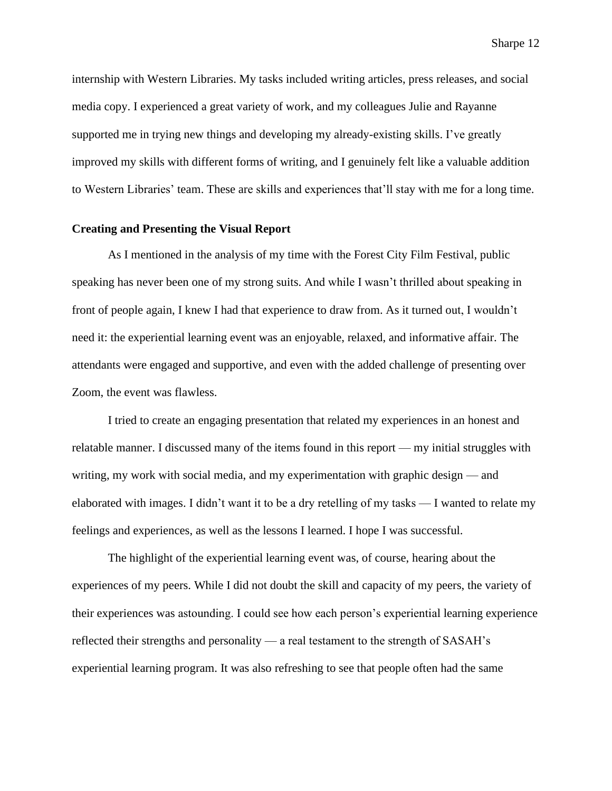internship with Western Libraries. My tasks included writing articles, press releases, and social media copy. I experienced a great variety of work, and my colleagues Julie and Rayanne supported me in trying new things and developing my already-existing skills. I've greatly improved my skills with different forms of writing, and I genuinely felt like a valuable addition to Western Libraries' team. These are skills and experiences that'll stay with me for a long time.

#### **Creating and Presenting the Visual Report**

As I mentioned in the analysis of my time with the Forest City Film Festival, public speaking has never been one of my strong suits. And while I wasn't thrilled about speaking in front of people again, I knew I had that experience to draw from. As it turned out, I wouldn't need it: the experiential learning event was an enjoyable, relaxed, and informative affair. The attendants were engaged and supportive, and even with the added challenge of presenting over Zoom, the event was flawless.

I tried to create an engaging presentation that related my experiences in an honest and relatable manner. I discussed many of the items found in this report — my initial struggles with writing, my work with social media, and my experimentation with graphic design — and elaborated with images. I didn't want it to be a dry retelling of my tasks — I wanted to relate my feelings and experiences, as well as the lessons I learned. I hope I was successful.

The highlight of the experiential learning event was, of course, hearing about the experiences of my peers. While I did not doubt the skill and capacity of my peers, the variety of their experiences was astounding. I could see how each person's experiential learning experience reflected their strengths and personality — a real testament to the strength of SASAH's experiential learning program. It was also refreshing to see that people often had the same